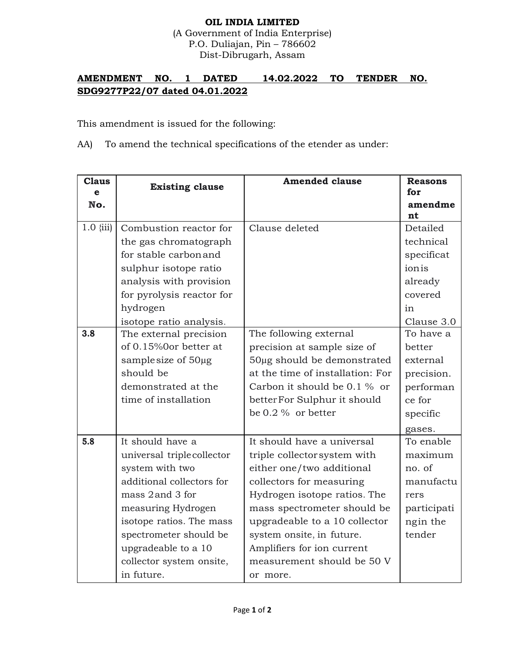## **OIL INDIA LIMITED**

(A Government of India Enterprise) P.O. Duliajan, Pin – 786602 Dist-Dibrugarh, Assam

## **AMENDMENT NO. 1 DATED 14.02.2022 TO TENDER NO. SDG9277P22/07 dated 04.01.2022**

This amendment is issued for the following:

AA) To amend the technical specifications of the etender as under:

| <b>Claus</b> | <b>Existing clause</b>    | <b>Amended clause</b>            | <b>Reasons</b> |
|--------------|---------------------------|----------------------------------|----------------|
| e            |                           |                                  | for            |
| No.          |                           |                                  | amendme        |
|              |                           |                                  | nt             |
| $1.0$ {iii)  | Combustion reactor for    | Clause deleted                   | Detailed       |
|              | the gas chromatograph     |                                  | technical      |
|              | for stable carbon and     |                                  | specificat     |
|              | sulphur isotope ratio     |                                  | ionis          |
|              | analysis with provision   |                                  | already        |
|              | for pyrolysis reactor for |                                  | covered        |
|              | hydrogen                  |                                  | in             |
|              | isotope ratio analysis.   |                                  | Clause 3.0     |
| 3.8          | The external precision    | The following external           | To have a      |
|              | of 0.15%0or better at     | precision at sample size of      | better         |
|              | sample size of 50µg       | 50µg should be demonstrated      | external       |
|              | should be                 | at the time of installation: For | precision.     |
|              | demonstrated at the       | Carbon it should be 0.1 % or     | performan      |
|              | time of installation      | better For Sulphur it should     | ce for         |
|              |                           | be $0.2\%$ or better             | specific       |
|              |                           |                                  | gases.         |
| 5.8          | It should have a          | It should have a universal       | To enable      |
|              | universal triplecollector | triple collectorsystem with      | maximum        |
|              | system with two           | either one/two additional        | no. of         |
|              | additional collectors for | collectors for measuring         | manufactu      |
|              | mass 2 and 3 for          | Hydrogen isotope ratios. The     | rers           |
|              | measuring Hydrogen        | mass spectrometer should be      | participati    |
|              | isotope ratios. The mass  | upgradeable to a 10 collector    | ngin the       |
|              | spectrometer should be    | system onsite, in future.        | tender         |
|              | upgradeable to a 10       | Amplifiers for ion current       |                |
|              | collector system onsite,  | measurement should be 50 V       |                |
|              | in future.                | or more.                         |                |